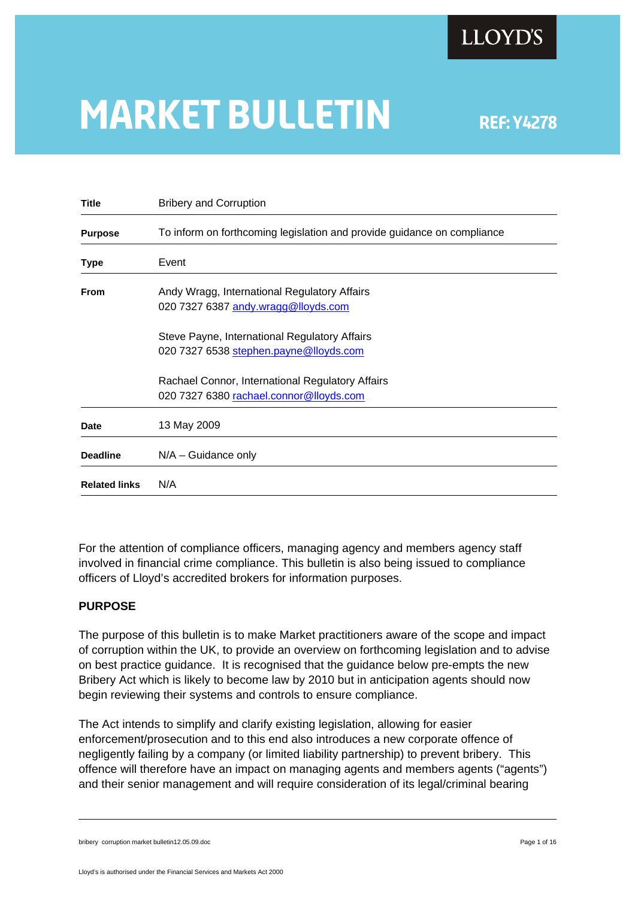

# **MARKET BULLETIN** REF: Y4278

| <b>Bribery and Corruption</b>                                           |
|-------------------------------------------------------------------------|
| To inform on forthcoming legislation and provide guidance on compliance |
| Event                                                                   |
| Andy Wragg, International Regulatory Affairs                            |
| 020 7327 6387 andy.wragg@lloyds.com                                     |
| Steve Payne, International Regulatory Affairs                           |
| 020 7327 6538 stephen.payne@lloyds.com                                  |
| Rachael Connor, International Regulatory Affairs                        |
| 020 7327 6380 rachael.connor@lloyds.com                                 |
| 13 May 2009                                                             |
| $N/A -$ Guidance only                                                   |
| N/A                                                                     |
|                                                                         |

For the attention of compliance officers, managing agency and members agency staff involved in financial crime compliance. This bulletin is also being issued to compliance officers of Lloyd's accredited brokers for information purposes.

### **PURPOSE**

The purpose of this bulletin is to make Market practitioners aware of the scope and impact of corruption within the UK, to provide an overview on forthcoming legislation and to advise on best practice guidance. It is recognised that the guidance below pre-empts the new Bribery Act which is likely to become law by 2010 but in anticipation agents should now begin reviewing their systems and controls to ensure compliance.

The Act intends to simplify and clarify existing legislation, allowing for easier enforcement/prosecution and to this end also introduces a new corporate offence of negligently failing by a company (or limited liability partnership) to prevent bribery. This offence will therefore have an impact on managing agents and members agents ("agents") and their senior management and will require consideration of its legal/criminal bearing

bribery corruption market bulletin12.05.09.doc **Page 1 of 16** and 200 and 200 and 200 and 200 and 200 and 200 and 200 and 200 and 200 and 200 and 200 and 200 and 200 and 200 and 200 and 200 and 200 and 200 and 200 and 200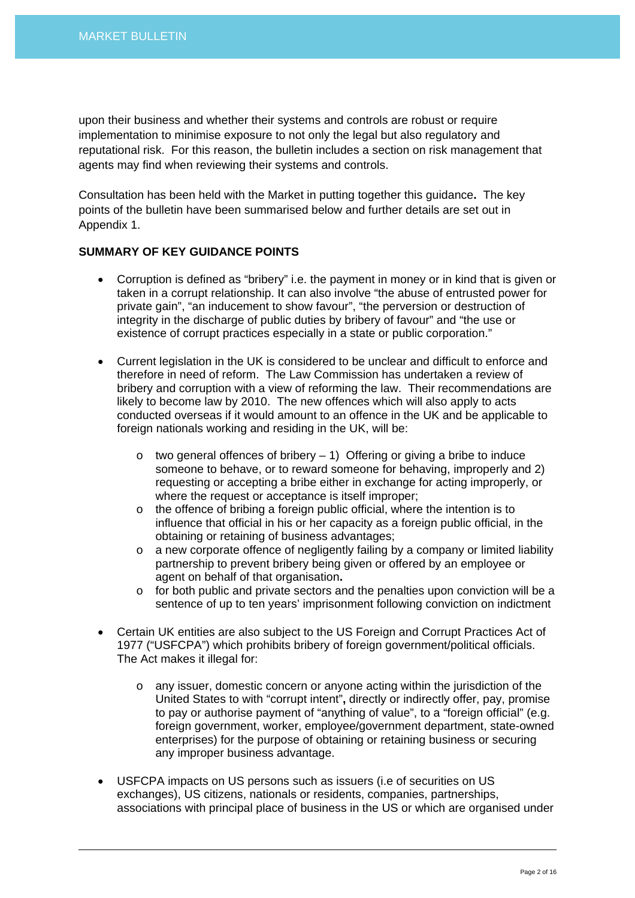upon their business and whether their systems and controls are robust or require implementation to minimise exposure to not only the legal but also regulatory and reputational risk. For this reason, the bulletin includes a section on risk management that agents may find when reviewing their systems and controls.

Consultation has been held with the Market in putting together this guidance**.** The key points of the bulletin have been summarised below and further details are set out in Appendix 1.

# **SUMMARY OF KEY GUIDANCE POINTS**

- Corruption is defined as "bribery" i.e. the payment in money or in kind that is given or taken in a corrupt relationship. It can also involve "the abuse of entrusted power for private gain", "an inducement to show favour", "the perversion or destruction of integrity in the discharge of public duties by bribery of favour" and "the use or existence of corrupt practices especially in a state or public corporation."
- Current legislation in the UK is considered to be unclear and difficult to enforce and therefore in need of reform. The Law Commission has undertaken a review of bribery and corruption with a view of reforming the law. Their recommendations are likely to become law by 2010. The new offences which will also apply to acts conducted overseas if it would amount to an offence in the UK and be applicable to foreign nationals working and residing in the UK, will be:
	- $\circ$  two general offences of bribery 1) Offering or giving a bribe to induce someone to behave, or to reward someone for behaving, improperly and 2) requesting or accepting a bribe either in exchange for acting improperly, or where the request or acceptance is itself improper;
	- o the offence of bribing a foreign public official, where the intention is to influence that official in his or her capacity as a foreign public official, in the obtaining or retaining of business advantages;
	- $\circ$  a new corporate offence of negligently failing by a company or limited liability partnership to prevent bribery being given or offered by an employee or agent on behalf of that organisation**.**
	- $\circ$  for both public and private sectors and the penalties upon conviction will be a sentence of up to ten years' imprisonment following conviction on indictment
- Certain UK entities are also subject to the US Foreign and Corrupt Practices Act of 1977 ("USFCPA") which prohibits bribery of foreign government/political officials. The Act makes it illegal for:
	- o any issuer, domestic concern or anyone acting within the jurisdiction of the United States to with "corrupt intent"**,** directly or indirectly offer, pay, promise to pay or authorise payment of "anything of value", to a "foreign official" (e.g. foreign government, worker, employee/government department, state-owned enterprises) for the purpose of obtaining or retaining business or securing any improper business advantage.
- USFCPA impacts on US persons such as issuers (i.e of securities on US exchanges), US citizens, nationals or residents, companies, partnerships, associations with principal place of business in the US or which are organised under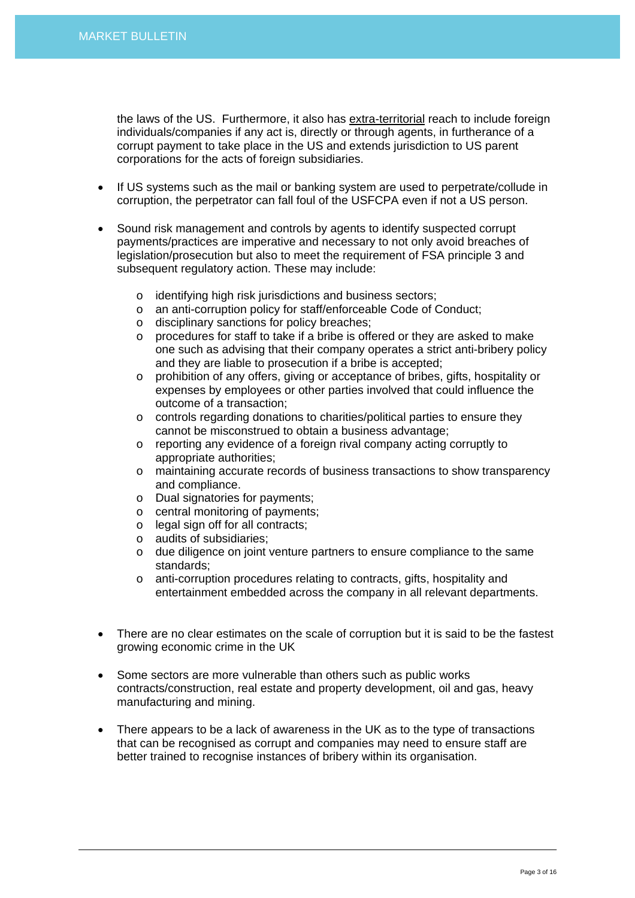the laws of the US. Furthermore, it also has extra-territorial reach to include foreign individuals/companies if any act is, directly or through agents, in furtherance of a corrupt payment to take place in the US and extends jurisdiction to US parent corporations for the acts of foreign subsidiaries.

- If US systems such as the mail or banking system are used to perpetrate/collude in corruption, the perpetrator can fall foul of the USFCPA even if not a US person.
- Sound risk management and controls by agents to identify suspected corrupt payments/practices are imperative and necessary to not only avoid breaches of legislation/prosecution but also to meet the requirement of FSA principle 3 and subsequent regulatory action. These may include:
	- o identifying high risk jurisdictions and business sectors;
	- o an anti-corruption policy for staff/enforceable Code of Conduct;
	- o disciplinary sanctions for policy breaches;
	- o procedures for staff to take if a bribe is offered or they are asked to make one such as advising that their company operates a strict anti-bribery policy and they are liable to prosecution if a bribe is accepted;
	- o prohibition of any offers, giving or acceptance of bribes, gifts, hospitality or expenses by employees or other parties involved that could influence the outcome of a transaction;
	- o controls regarding donations to charities/political parties to ensure they cannot be misconstrued to obtain a business advantage;
	- o reporting any evidence of a foreign rival company acting corruptly to appropriate authorities;
	- o maintaining accurate records of business transactions to show transparency and compliance.
	- o Dual signatories for payments;
	- o central monitoring of payments;
	- o legal sign off for all contracts;
	- o audits of subsidiaries;
	- o due diligence on joint venture partners to ensure compliance to the same standards;
	- o anti-corruption procedures relating to contracts, gifts, hospitality and entertainment embedded across the company in all relevant departments.
- There are no clear estimates on the scale of corruption but it is said to be the fastest growing economic crime in the UK
- Some sectors are more vulnerable than others such as public works contracts/construction, real estate and property development, oil and gas, heavy manufacturing and mining.
- There appears to be a lack of awareness in the UK as to the type of transactions that can be recognised as corrupt and companies may need to ensure staff are better trained to recognise instances of bribery within its organisation.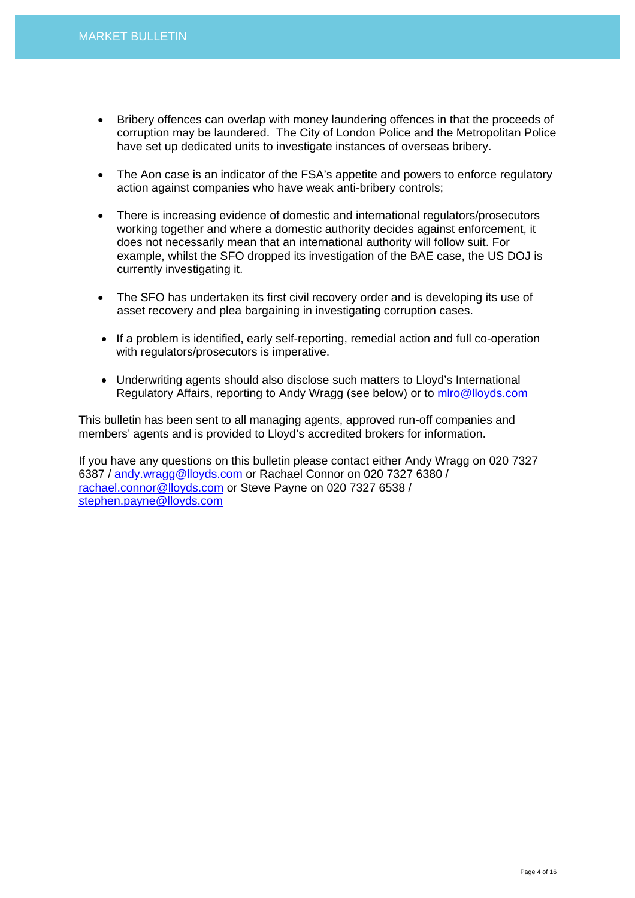- Bribery offences can overlap with money laundering offences in that the proceeds of corruption may be laundered. The City of London Police and the Metropolitan Police have set up dedicated units to investigate instances of overseas bribery.
- The Aon case is an indicator of the FSA's appetite and powers to enforce regulatory action against companies who have weak anti-bribery controls;
- There is increasing evidence of domestic and international regulators/prosecutors working together and where a domestic authority decides against enforcement, it does not necessarily mean that an international authority will follow suit. For example, whilst the SFO dropped its investigation of the BAE case, the US DOJ is currently investigating it.
- The SFO has undertaken its first civil recovery order and is developing its use of asset recovery and plea bargaining in investigating corruption cases.
- If a problem is identified, early self-reporting, remedial action and full co-operation with regulators/prosecutors is imperative.
- Underwriting agents should also disclose such matters to Lloyd's International Regulatory Affairs, reporting to Andy Wragg (see below) or to [mlro@lloyds.com](mailto:mlro@lloyds.com)

This bulletin has been sent to all managing agents, approved run-off companies and members' agents and is provided to Lloyd's accredited brokers for information.

If you have any questions on this bulletin please contact either Andy Wragg on 020 7327 6387 / [andy.wragg@lloyds.com](mailto:andy.wragg@lloyds.com) or Rachael Connor on 020 7327 6380 / [rachael.connor@lloyds.com](mailto:rachael.connor@lloyds.com) or Steve Payne on 020 7327 6538 / [stephen.payne@lloyds.com](mailto:stephen.payne@lloyds.com)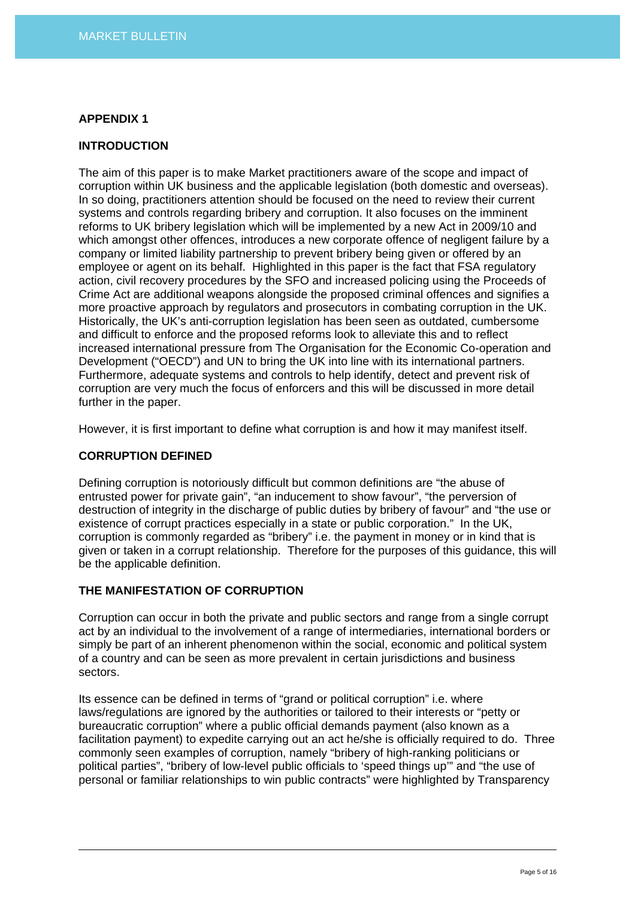## **APPENDIX 1**

## **INTRODUCTION**

The aim of this paper is to make Market practitioners aware of the scope and impact of corruption within UK business and the applicable legislation (both domestic and overseas). In so doing, practitioners attention should be focused on the need to review their current systems and controls regarding bribery and corruption. It also focuses on the imminent reforms to UK bribery legislation which will be implemented by a new Act in 2009/10 and which amongst other offences, introduces a new corporate offence of negligent failure by a company or limited liability partnership to prevent bribery being given or offered by an employee or agent on its behalf. Highlighted in this paper is the fact that FSA regulatory action, civil recovery procedures by the SFO and increased policing using the Proceeds of Crime Act are additional weapons alongside the proposed criminal offences and signifies a more proactive approach by regulators and prosecutors in combating corruption in the UK. Historically, the UK's anti-corruption legislation has been seen as outdated, cumbersome and difficult to enforce and the proposed reforms look to alleviate this and to reflect increased international pressure from The Organisation for the Economic Co-operation and Development ("OECD") and UN to bring the UK into line with its international partners. Furthermore, adequate systems and controls to help identify, detect and prevent risk of corruption are very much the focus of enforcers and this will be discussed in more detail further in the paper.

However, it is first important to define what corruption is and how it may manifest itself.

#### **CORRUPTION DEFINED**

Defining corruption is notoriously difficult but common definitions are "the abuse of entrusted power for private gain", "an inducement to show favour", "the perversion of destruction of integrity in the discharge of public duties by bribery of favour" and "the use or existence of corrupt practices especially in a state or public corporation." In the UK, corruption is commonly regarded as "bribery" i.e. the payment in money or in kind that is given or taken in a corrupt relationship. Therefore for the purposes of this guidance, this will be the applicable definition.

# **THE MANIFESTATION OF CORRUPTION**

Corruption can occur in both the private and public sectors and range from a single corrupt act by an individual to the involvement of a range of intermediaries, international borders or simply be part of an inherent phenomenon within the social, economic and political system of a country and can be seen as more prevalent in certain jurisdictions and business sectors.

Its essence can be defined in terms of "grand or political corruption" i.e. where laws/regulations are ignored by the authorities or tailored to their interests or "petty or bureaucratic corruption" where a public official demands payment (also known as a facilitation payment) to expedite carrying out an act he/she is officially required to do. Three commonly seen examples of corruption, namely "bribery of high-ranking politicians or political parties", "bribery of low-level public officials to 'speed things up'" and "the use of personal or familiar relationships to win public contracts" were highlighted by Transparency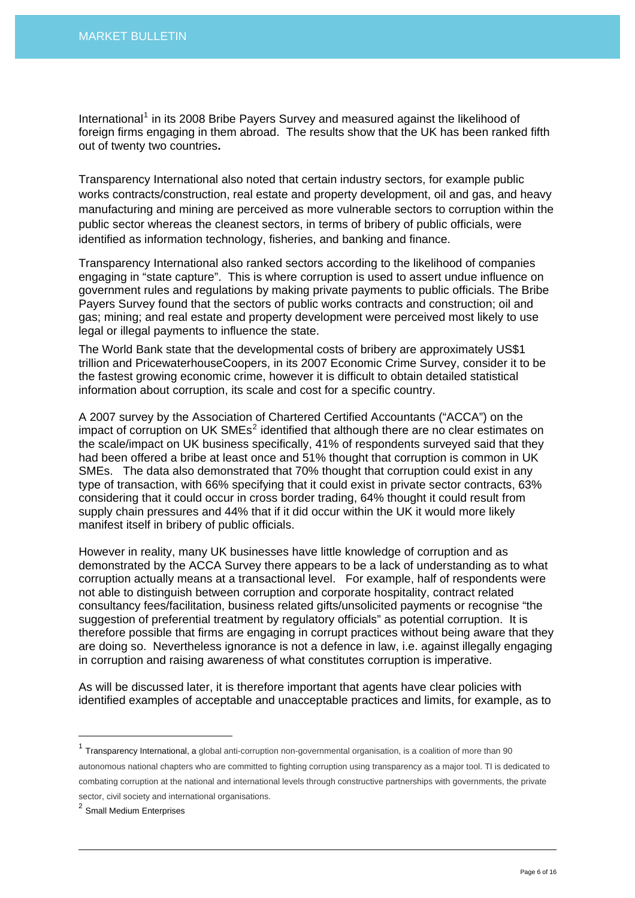International<sup>[1](#page-5-0)</sup> in its 2008 Bribe Payers Survey and measured against the likelihood of foreign firms engaging in them abroad. The results show that the UK has been ranked fifth out of twenty two countries**.** 

Transparency International also noted that certain industry sectors, for example public works contracts/construction, real estate and property development, oil and gas, and heavy manufacturing and mining are perceived as more vulnerable sectors to corruption within the public sector whereas the cleanest sectors, in terms of bribery of public officials, were identified as information technology, fisheries, and banking and finance.

Transparency International also ranked sectors according to the likelihood of companies engaging in "state capture". This is where corruption is used to assert undue influence on government rules and regulations by making private payments to public officials. The Bribe Payers Survey found that the sectors of public works contracts and construction; oil and gas; mining; and real estate and property development were perceived most likely to use legal or illegal payments to influence the state.

The World Bank state that the developmental costs of bribery are approximately US\$1 trillion and PricewaterhouseCoopers, in its 2007 Economic Crime Survey, consider it to be the fastest growing economic crime, however it is difficult to obtain detailed statistical information about corruption, its scale and cost for a specific country.

A 2007 survey by the Association of Chartered Certified Accountants ("ACCA") on the impact of corruption on UK SMEs<sup>[2](#page-5-1)</sup> identified that although there are no clear estimates on the scale/impact on UK business specifically, 41% of respondents surveyed said that they had been offered a bribe at least once and 51% thought that corruption is common in UK SMEs. The data also demonstrated that 70% thought that corruption could exist in any type of transaction, with 66% specifying that it could exist in private sector contracts, 63% considering that it could occur in cross border trading, 64% thought it could result from supply chain pressures and 44% that if it did occur within the UK it would more likely manifest itself in bribery of public officials.

However in reality, many UK businesses have little knowledge of corruption and as demonstrated by the ACCA Survey there appears to be a lack of understanding as to what corruption actually means at a transactional level. For example, half of respondents were not able to distinguish between corruption and corporate hospitality, contract related consultancy fees/facilitation, business related gifts/unsolicited payments or recognise "the suggestion of preferential treatment by regulatory officials" as potential corruption. It is therefore possible that firms are engaging in corrupt practices without being aware that they are doing so. Nevertheless ignorance is not a defence in law, i.e. against illegally engaging in corruption and raising awareness of what constitutes corruption is imperative.

As will be discussed later, it is therefore important that agents have clear policies with identified examples of acceptable and unacceptable practices and limits, for example, as to

<span id="page-5-0"></span> $1$  Transparency International, a global anti-corruption non-governmental organisation, is a coalition of more than 90 autonomous national chapters who are committed to fighting corruption using transparency as a major tool. TI is dedicated to combating corruption at the national and international levels through constructive partnerships with governments, the private sector, civil society and international organisations.

<span id="page-5-1"></span><sup>2</sup> Small Medium Enterprises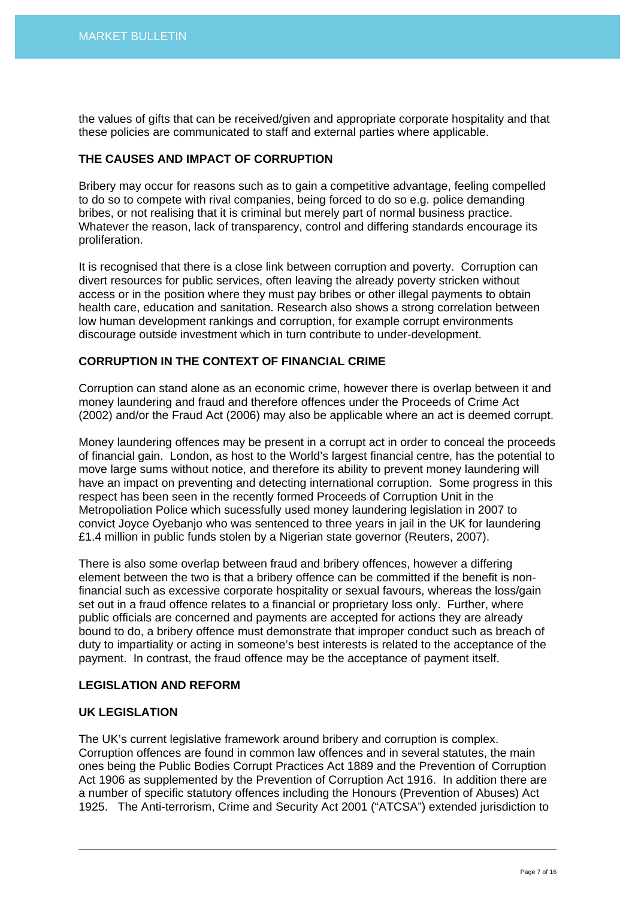the values of gifts that can be received/given and appropriate corporate hospitality and that these policies are communicated to staff and external parties where applicable.

## **THE CAUSES AND IMPACT OF CORRUPTION**

Bribery may occur for reasons such as to gain a competitive advantage, feeling compelled to do so to compete with rival companies, being forced to do so e.g. police demanding bribes, or not realising that it is criminal but merely part of normal business practice. Whatever the reason, lack of transparency, control and differing standards encourage its proliferation.

It is recognised that there is a close link between corruption and poverty. Corruption can divert resources for public services, often leaving the already poverty stricken without access or in the position where they must pay bribes or other illegal payments to obtain health care, education and sanitation. Research also shows a strong correlation between low human development rankings and corruption, for example corrupt environments discourage outside investment which in turn contribute to under-development.

# **CORRUPTION IN THE CONTEXT OF FINANCIAL CRIME**

Corruption can stand alone as an economic crime, however there is overlap between it and money laundering and fraud and therefore offences under the Proceeds of Crime Act (2002) and/or the Fraud Act (2006) may also be applicable where an act is deemed corrupt.

Money laundering offences may be present in a corrupt act in order to conceal the proceeds of financial gain. London, as host to the World's largest financial centre, has the potential to move large sums without notice, and therefore its ability to prevent money laundering will have an impact on preventing and detecting international corruption. Some progress in this respect has been seen in the recently formed Proceeds of Corruption Unit in the Metropoliation Police which sucessfully used money laundering legislation in 2007 to convict Joyce Oyebanjo who was sentenced to three years in jail in the UK for laundering £1.4 million in public funds stolen by a Nigerian state governor (Reuters, 2007).

There is also some overlap between fraud and bribery offences, however a differing element between the two is that a bribery offence can be committed if the benefit is nonfinancial such as excessive corporate hospitality or sexual favours, whereas the loss/gain set out in a fraud offence relates to a financial or proprietary loss only. Further, where public officials are concerned and payments are accepted for actions they are already bound to do, a bribery offence must demonstrate that improper conduct such as breach of duty to impartiality or acting in someone's best interests is related to the acceptance of the payment. In contrast, the fraud offence may be the acceptance of payment itself.

#### **LEGISLATION AND REFORM**

## **UK LEGISLATION**

The UK's current legislative framework around bribery and corruption is complex. Corruption offences are found in common law offences and in several statutes, the main ones being the Public Bodies Corrupt Practices Act 1889 and the Prevention of Corruption Act 1906 as supplemented by the Prevention of Corruption Act 1916. In addition there are a number of specific statutory offences including the Honours (Prevention of Abuses) Act 1925. The Anti-terrorism, Crime and Security Act 2001 ("ATCSA") extended jurisdiction to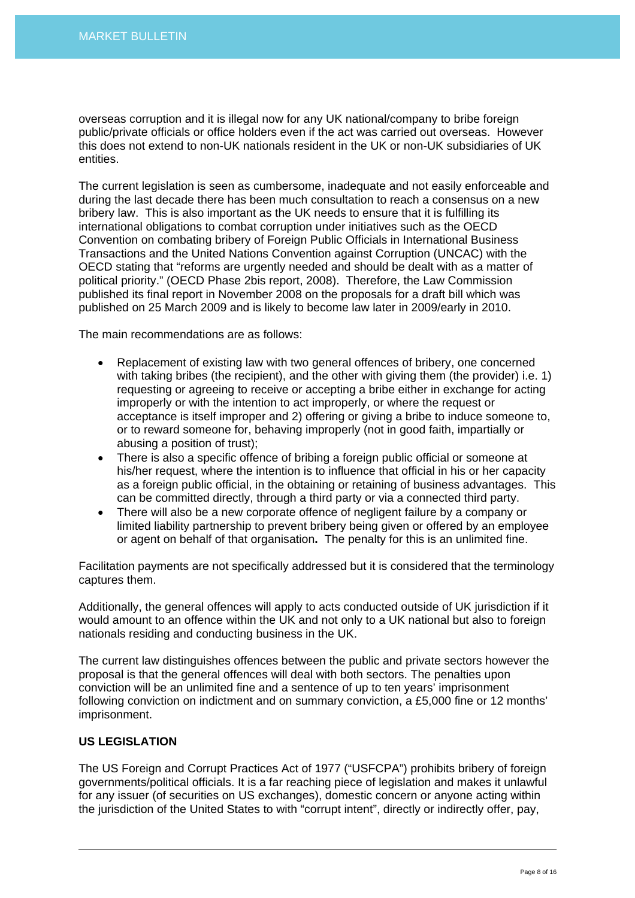overseas corruption and it is illegal now for any UK national/company to bribe foreign public/private officials or office holders even if the act was carried out overseas. However this does not extend to non-UK nationals resident in the UK or non-UK subsidiaries of UK entities.

The current legislation is seen as cumbersome, inadequate and not easily enforceable and during the last decade there has been much consultation to reach a consensus on a new bribery law. This is also important as the UK needs to ensure that it is fulfilling its international obligations to combat corruption under initiatives such as the OECD Convention on combating bribery of Foreign Public Officials in International Business Transactions and the United Nations Convention against Corruption (UNCAC) with the OECD stating that "reforms are urgently needed and should be dealt with as a matter of political priority." (OECD Phase 2bis report, 2008). Therefore, the Law Commission published its final report in November 2008 on the proposals for a draft bill which was published on 25 March 2009 and is likely to become law later in 2009/early in 2010.

The main recommendations are as follows:

- Replacement of existing law with two general offences of bribery, one concerned with taking bribes (the recipient), and the other with giving them (the provider) i.e. 1) requesting or agreeing to receive or accepting a bribe either in exchange for acting improperly or with the intention to act improperly, or where the request or acceptance is itself improper and 2) offering or giving a bribe to induce someone to, or to reward someone for, behaving improperly (not in good faith, impartially or abusing a position of trust);
- There is also a specific offence of bribing a foreign public official or someone at his/her request, where the intention is to influence that official in his or her capacity as a foreign public official, in the obtaining or retaining of business advantages. This can be committed directly, through a third party or via a connected third party.
- There will also be a new corporate offence of negligent failure by a company or limited liability partnership to prevent bribery being given or offered by an employee or agent on behalf of that organisation**.** The penalty for this is an unlimited fine.

Facilitation payments are not specifically addressed but it is considered that the terminology captures them.

Additionally, the general offences will apply to acts conducted outside of UK jurisdiction if it would amount to an offence within the UK and not only to a UK national but also to foreign nationals residing and conducting business in the UK.

The current law distinguishes offences between the public and private sectors however the proposal is that the general offences will deal with both sectors. The penalties upon conviction will be an unlimited fine and a sentence of up to ten years' imprisonment following conviction on indictment and on summary conviction, a £5,000 fine or 12 months' imprisonment.

# **US LEGISLATION**

The US Foreign and Corrupt Practices Act of 1977 ("USFCPA") prohibits bribery of foreign governments/political officials. It is a far reaching piece of legislation and makes it unlawful for any issuer (of securities on US exchanges), domestic concern or anyone acting within the jurisdiction of the United States to with "corrupt intent", directly or indirectly offer, pay,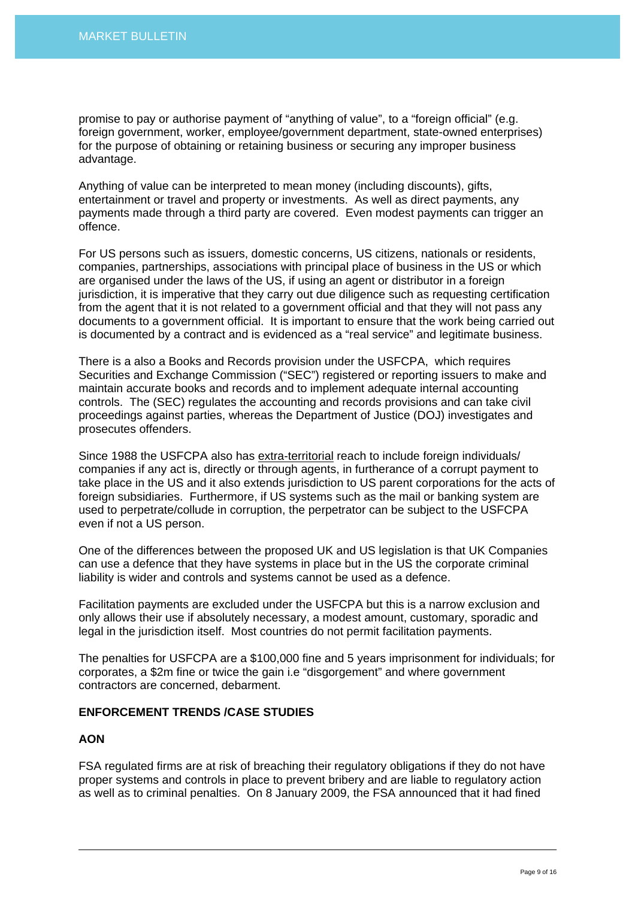promise to pay or authorise payment of "anything of value", to a "foreign official" (e.g. foreign government, worker, employee/government department, state-owned enterprises) for the purpose of obtaining or retaining business or securing any improper business advantage.

Anything of value can be interpreted to mean money (including discounts), gifts, entertainment or travel and property or investments. As well as direct payments, any payments made through a third party are covered. Even modest payments can trigger an offence.

For US persons such as issuers, domestic concerns, US citizens, nationals or residents, companies, partnerships, associations with principal place of business in the US or which are organised under the laws of the US, if using an agent or distributor in a foreign jurisdiction, it is imperative that they carry out due diligence such as requesting certification from the agent that it is not related to a government official and that they will not pass any documents to a government official. It is important to ensure that the work being carried out is documented by a contract and is evidenced as a "real service" and legitimate business.

There is a also a Books and Records provision under the USFCPA, which requires Securities and Exchange Commission ("SEC") registered or reporting issuers to make and maintain accurate books and records and to implement adequate internal accounting controls. The (SEC) regulates the accounting and records provisions and can take civil proceedings against parties, whereas the Department of Justice (DOJ) investigates and prosecutes offenders.

Since 1988 the USFCPA also has extra-territorial reach to include foreign individuals/ companies if any act is, directly or through agents, in furtherance of a corrupt payment to take place in the US and it also extends jurisdiction to US parent corporations for the acts of foreign subsidiaries. Furthermore, if US systems such as the mail or banking system are used to perpetrate/collude in corruption, the perpetrator can be subject to the USFCPA even if not a US person.

One of the differences between the proposed UK and US legislation is that UK Companies can use a defence that they have systems in place but in the US the corporate criminal liability is wider and controls and systems cannot be used as a defence.

Facilitation payments are excluded under the USFCPA but this is a narrow exclusion and only allows their use if absolutely necessary, a modest amount, customary, sporadic and legal in the jurisdiction itself. Most countries do not permit facilitation payments.

The penalties for USFCPA are a \$100,000 fine and 5 years imprisonment for individuals; for corporates, a \$2m fine or twice the gain i.e "disgorgement" and where government contractors are concerned, debarment.

# **ENFORCEMENT TRENDS /CASE STUDIES**

#### **AON**

FSA regulated firms are at risk of breaching their regulatory obligations if they do not have proper systems and controls in place to prevent bribery and are liable to regulatory action as well as to criminal penalties. On 8 January 2009, the FSA announced that it had fined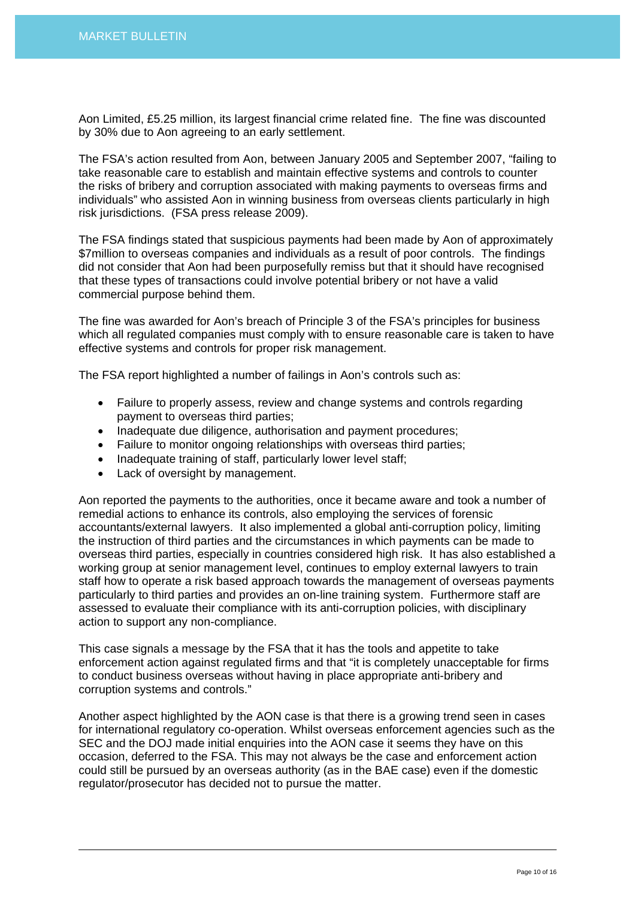Aon Limited, £5.25 million, its largest financial crime related fine. The fine was discounted by 30% due to Aon agreeing to an early settlement.

The FSA's action resulted from Aon, between January 2005 and September 2007, "failing to take reasonable care to establish and maintain effective systems and controls to counter the risks of bribery and corruption associated with making payments to overseas firms and individuals" who assisted Aon in winning business from overseas clients particularly in high risk jurisdictions. (FSA press release 2009).

The FSA findings stated that suspicious payments had been made by Aon of approximately \$7million to overseas companies and individuals as a result of poor controls. The findings did not consider that Aon had been purposefully remiss but that it should have recognised that these types of transactions could involve potential bribery or not have a valid commercial purpose behind them.

The fine was awarded for Aon's breach of Principle 3 of the FSA's principles for business which all regulated companies must comply with to ensure reasonable care is taken to have effective systems and controls for proper risk management.

The FSA report highlighted a number of failings in Aon's controls such as:

- Failure to properly assess, review and change systems and controls regarding payment to overseas third parties;
- Inadequate due diligence, authorisation and payment procedures;
- Failure to monitor ongoing relationships with overseas third parties:
- Inadequate training of staff, particularly lower level staff;
- Lack of oversight by management.

Aon reported the payments to the authorities, once it became aware and took a number of remedial actions to enhance its controls, also employing the services of forensic accountants/external lawyers. It also implemented a global anti-corruption policy, limiting the instruction of third parties and the circumstances in which payments can be made to overseas third parties, especially in countries considered high risk. It has also established a working group at senior management level, continues to employ external lawyers to train staff how to operate a risk based approach towards the management of overseas payments particularly to third parties and provides an on-line training system. Furthermore staff are assessed to evaluate their compliance with its anti-corruption policies, with disciplinary action to support any non-compliance.

This case signals a message by the FSA that it has the tools and appetite to take enforcement action against regulated firms and that "it is completely unacceptable for firms to conduct business overseas without having in place appropriate anti-bribery and corruption systems and controls."

Another aspect highlighted by the AON case is that there is a growing trend seen in cases for international regulatory co-operation. Whilst overseas enforcement agencies such as the SEC and the DOJ made initial enquiries into the AON case it seems they have on this occasion, deferred to the FSA. This may not always be the case and enforcement action could still be pursued by an overseas authority (as in the BAE case) even if the domestic regulator/prosecutor has decided not to pursue the matter.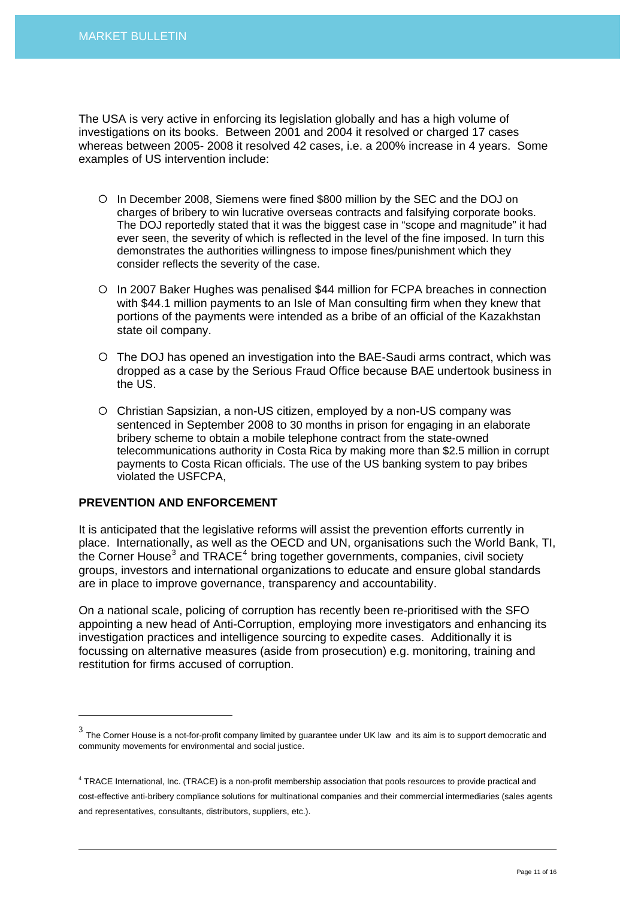The USA is very active in enforcing its legislation globally and has a high volume of investigations on its books. Between 2001 and 2004 it resolved or charged 17 cases whereas between 2005- 2008 it resolved 42 cases, i.e. a 200% increase in 4 years. Some examples of US intervention include:

- { In December 2008, Siemens were fined \$800 million by the SEC and the DOJ on charges of bribery to win lucrative overseas contracts and falsifying corporate books. The DOJ reportedly stated that it was the biggest case in "scope and magnitude" it had ever seen, the severity of which is reflected in the level of the fine imposed. In turn this demonstrates the authorities willingness to impose fines/punishment which they consider reflects the severity of the case.
- { In 2007 Baker Hughes was penalised \$44 million for FCPA breaches in connection with \$44.1 million payments to an Isle of Man consulting firm when they knew that portions of the payments were intended as a bribe of an official of the Kazakhstan state oil company.
- { The DOJ has opened an investigation into the BAE-Saudi arms contract, which was dropped as a case by the Serious Fraud Office because BAE undertook business in the US.
- { Christian Sapsizian, a non-US citizen, employed by a non-US company was sentenced in September 2008 to 30 months in prison for engaging in an elaborate bribery scheme to obtain a mobile telephone contract from the state-owned telecommunications authority in Costa Rica by making more than \$2.5 million in corrupt payments to Costa Rican officials. The use of the US banking system to pay bribes violated the USFCPA,

#### **PREVENTION AND ENFORCEMENT**

 $\overline{a}$ 

It is anticipated that the legislative reforms will assist the prevention efforts currently in place. Internationally, as well as the OECD and UN, organisations such the World Bank, TI, the Corner House<sup>[3](#page-10-0)</sup> and TRACE<sup>[4](#page-10-1)</sup> bring together governments, companies, civil society groups, investors and international organizations to educate and ensure global standards are in place to improve governance, transparency and accountability.

On a national scale, policing of corruption has recently been re-prioritised with the SFO appointing a new head of Anti-Corruption, employing more investigators and enhancing its investigation practices and intelligence sourcing to expedite cases. Additionally it is focussing on alternative measures (aside from prosecution) e.g. monitoring, training and restitution for firms accused of corruption.

<span id="page-10-0"></span> $3$  The Corner House is a not-for-profit company limited by guarantee under UK law and its aim is to support democratic and community movements for environmental and social justice.

<span id="page-10-1"></span><sup>&</sup>lt;sup>4</sup> TRACE International, Inc. (TRACE) is a non-profit membership association that pools resources to provide practical and cost-effective anti-bribery compliance solutions for multinational companies and their commercial intermediaries (sales agents and representatives, consultants, distributors, suppliers, etc.).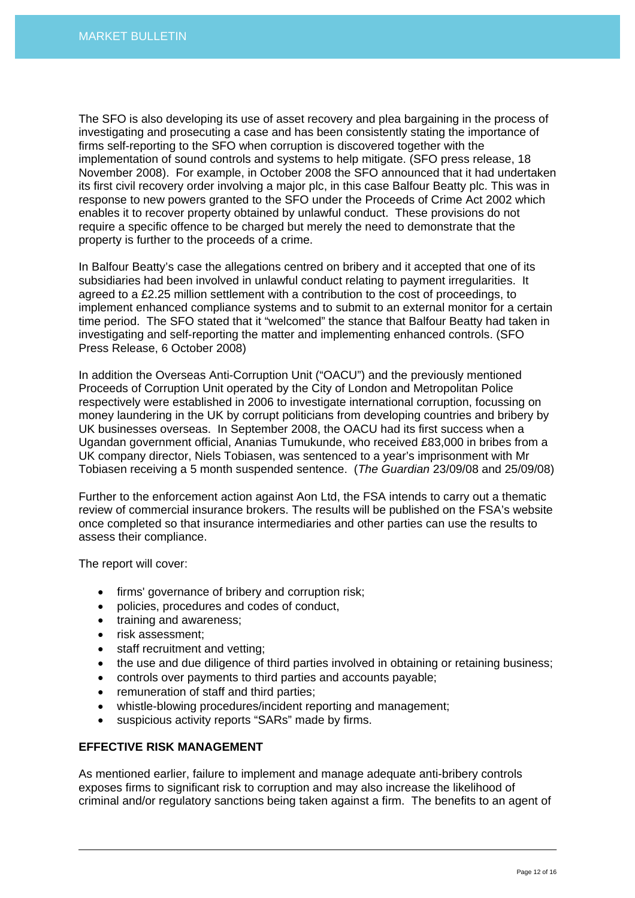The SFO is also developing its use of asset recovery and plea bargaining in the process of investigating and prosecuting a case and has been consistently stating the importance of firms self-reporting to the SFO when corruption is discovered together with the implementation of sound controls and systems to help mitigate. (SFO press release, 18 November 2008). For example, in October 2008 the SFO announced that it had undertaken its first civil recovery order involving a major plc, in this case Balfour Beatty plc. This was in response to new powers granted to the SFO under the Proceeds of Crime Act 2002 which enables it to recover property obtained by unlawful conduct. These provisions do not require a specific offence to be charged but merely the need to demonstrate that the property is further to the proceeds of a crime.

In Balfour Beatty's case the allegations centred on bribery and it accepted that one of its subsidiaries had been involved in unlawful conduct relating to payment irregularities. It agreed to a £2.25 million settlement with a contribution to the cost of proceedings, to implement enhanced compliance systems and to submit to an external monitor for a certain time period. The SFO stated that it "welcomed" the stance that Balfour Beatty had taken in investigating and self-reporting the matter and implementing enhanced controls. (SFO Press Release, 6 October 2008)

In addition the Overseas Anti-Corruption Unit ("OACU") and the previously mentioned Proceeds of Corruption Unit operated by the City of London and Metropolitan Police respectively were established in 2006 to investigate international corruption, focussing on money laundering in the UK by corrupt politicians from developing countries and bribery by UK businesses overseas. In September 2008, the OACU had its first success when a Ugandan government official, Ananias Tumukunde, who received £83,000 in bribes from a UK company director, Niels Tobiasen, was sentenced to a year's imprisonment with Mr Tobiasen receiving a 5 month suspended sentence. (*The Guardian* 23/09/08 and 25/09/08)

Further to the enforcement action against Aon Ltd, the FSA intends to carry out a thematic review of commercial insurance brokers. The results will be published on the FSA's website once completed so that insurance intermediaries and other parties can use the results to assess their compliance.

The report will cover:

- firms' governance of bribery and corruption risk;
- policies, procedures and codes of conduct,
- training and awareness;
- risk assessment;
- staff recruitment and vetting;
- the use and due diligence of third parties involved in obtaining or retaining business;
- controls over payments to third parties and accounts payable;
- remuneration of staff and third parties;
- whistle-blowing procedures/incident reporting and management;
- suspicious activity reports "SARs" made by firms.

# **EFFECTIVE RISK MANAGEMENT**

As mentioned earlier, failure to implement and manage adequate anti-bribery controls exposes firms to significant risk to corruption and may also increase the likelihood of criminal and/or regulatory sanctions being taken against a firm. The benefits to an agent of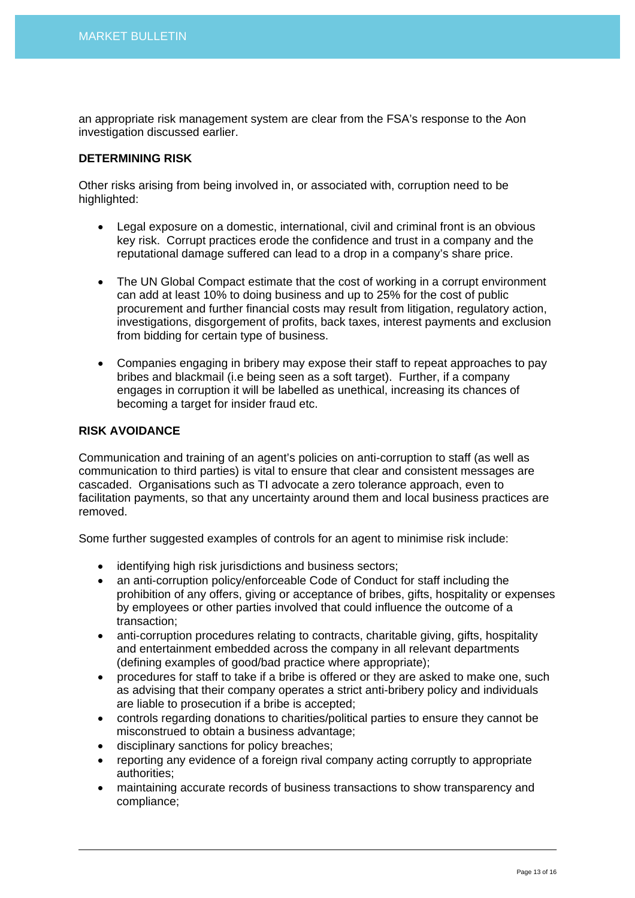an appropriate risk management system are clear from the FSA's response to the Aon investigation discussed earlier.

## **DETERMINING RISK**

Other risks arising from being involved in, or associated with, corruption need to be highlighted:

- Legal exposure on a domestic, international, civil and criminal front is an obvious key risk. Corrupt practices erode the confidence and trust in a company and the reputational damage suffered can lead to a drop in a company's share price.
- The UN Global Compact estimate that the cost of working in a corrupt environment can add at least 10% to doing business and up to 25% for the cost of public procurement and further financial costs may result from litigation, regulatory action, investigations, disgorgement of profits, back taxes, interest payments and exclusion from bidding for certain type of business.
- Companies engaging in bribery may expose their staff to repeat approaches to pay bribes and blackmail (i.e being seen as a soft target). Further, if a company engages in corruption it will be labelled as unethical, increasing its chances of becoming a target for insider fraud etc.

## **RISK AVOIDANCE**

Communication and training of an agent's policies on anti-corruption to staff (as well as communication to third parties) is vital to ensure that clear and consistent messages are cascaded. Organisations such as TI advocate a zero tolerance approach, even to facilitation payments, so that any uncertainty around them and local business practices are removed.

Some further suggested examples of controls for an agent to minimise risk include:

- identifying high risk jurisdictions and business sectors;
- an anti-corruption policy/enforceable Code of Conduct for staff including the prohibition of any offers, giving or acceptance of bribes, gifts, hospitality or expenses by employees or other parties involved that could influence the outcome of a transaction;
- anti-corruption procedures relating to contracts, charitable giving, gifts, hospitality and entertainment embedded across the company in all relevant departments (defining examples of good/bad practice where appropriate);
- procedures for staff to take if a bribe is offered or they are asked to make one, such as advising that their company operates a strict anti-bribery policy and individuals are liable to prosecution if a bribe is accepted;
- controls regarding donations to charities/political parties to ensure they cannot be misconstrued to obtain a business advantage;
- disciplinary sanctions for policy breaches;
- reporting any evidence of a foreign rival company acting corruptly to appropriate authorities;
- maintaining accurate records of business transactions to show transparency and compliance;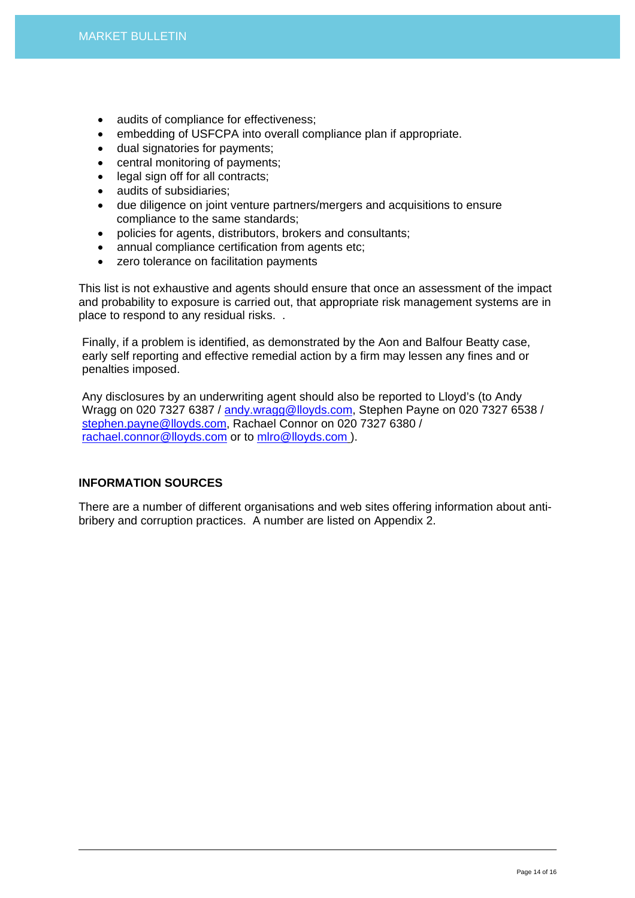- audits of compliance for effectiveness;
- embedding of USFCPA into overall compliance plan if appropriate.
- dual signatories for payments;
- central monitoring of payments;
- legal sign off for all contracts;
- audits of subsidiaries;
- due diligence on joint venture partners/mergers and acquisitions to ensure compliance to the same standards;
- policies for agents, distributors, brokers and consultants;
- annual compliance certification from agents etc:
- zero tolerance on facilitation payments

This list is not exhaustive and agents should ensure that once an assessment of the impact and probability to exposure is carried out, that appropriate risk management systems are in place to respond to any residual risks. .

Finally, if a problem is identified, as demonstrated by the Aon and Balfour Beatty case, early self reporting and effective remedial action by a firm may lessen any fines and or penalties imposed.

Any disclosures by an underwriting agent should also be reported to Lloyd's (to Andy Wragg on 020 7327 6387 / [andy.wragg@lloyds.com](mailto:andy.wragg@lloyds.com), Stephen Payne on 020 7327 6538 / [stephen.payne@lloyds.com](mailto:Stephen.payne@lloyds.com), Rachael Connor on 020 7327 6380 / [rachael.connor@lloyds.com](mailto:Rachael.connor@lloyds.com) or to [mlro@lloyds.com](mailto:mlro@lloyds.com) ).

# **INFORMATION SOURCES**

There are a number of different organisations and web sites offering information about antibribery and corruption practices. A number are listed on Appendix 2.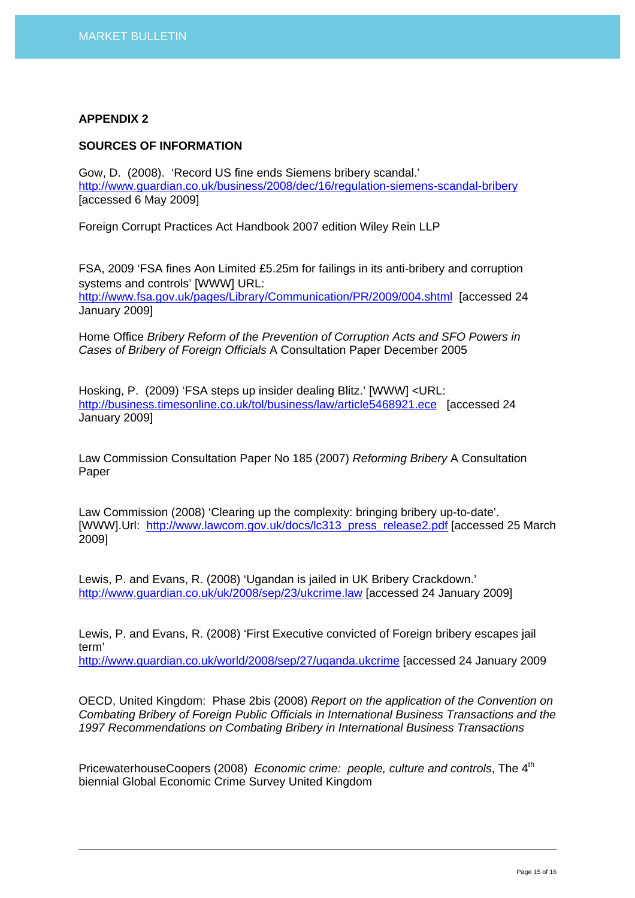## **APPENDIX 2**

## **SOURCES OF INFORMATION**

Gow, D. (2008). 'Record US fine ends Siemens bribery scandal.' <http://www.guardian.co.uk/business/2008/dec/16/regulation-siemens-scandal-bribery> [accessed 6 May 2009]

Foreign Corrupt Practices Act Handbook 2007 edition Wiley Rein LLP

FSA, 2009 'FSA fines Aon Limited £5.25m for failings in its anti-bribery and corruption systems and controls' [WWW] URL: <http://www.fsa.gov.uk/pages/Library/Communication/PR/2009/004.shtml> [accessed 24 January 2009]

Home Office *Bribery Reform of the Prevention of Corruption Acts and SFO Powers in Cases of Bribery of Foreign Officials* A Consultation Paper December 2005

Hosking, P. (2009) 'FSA steps up insider dealing Blitz.' [WWW] <URL: <http://business.timesonline.co.uk/tol/business/law/article5468921.ece> [accessed 24 January 2009]

Law Commission Consultation Paper No 185 (2007) *Reforming Bribery* A Consultation Paper

Law Commission (2008) 'Clearing up the complexity: bringing bribery up-to-date'. [WWW].Url: [http://www.lawcom.gov.uk/docs/lc313\\_press\\_release2.pdf](http://www.lawcom.gov.uk/docs/lc313_press_release2.pdf) [accessed 25 March 2009]

Lewis, P. and Evans, R. (2008) 'Ugandan is jailed in UK Bribery Crackdown.' <http://www.guardian.co.uk/uk/2008/sep/23/ukcrime.law>[accessed 24 January 2009]

Lewis, P. and Evans, R. (2008) 'First Executive convicted of Foreign bribery escapes jail term'

<http://www.guardian.co.uk/world/2008/sep/27/uganda.ukcrime> [accessed 24 January 2009

OECD, United Kingdom: Phase 2bis (2008) *Report on the application of the Convention on Combating Bribery of Foreign Public Officials in International Business Transactions and the 1997 Recommendations on Combating Bribery in International Business Transactions* 

PricewaterhouseCoopers (2008) *Economic crime: people, culture and controls*, The 4<sup>th</sup> biennial Global Economic Crime Survey United Kingdom